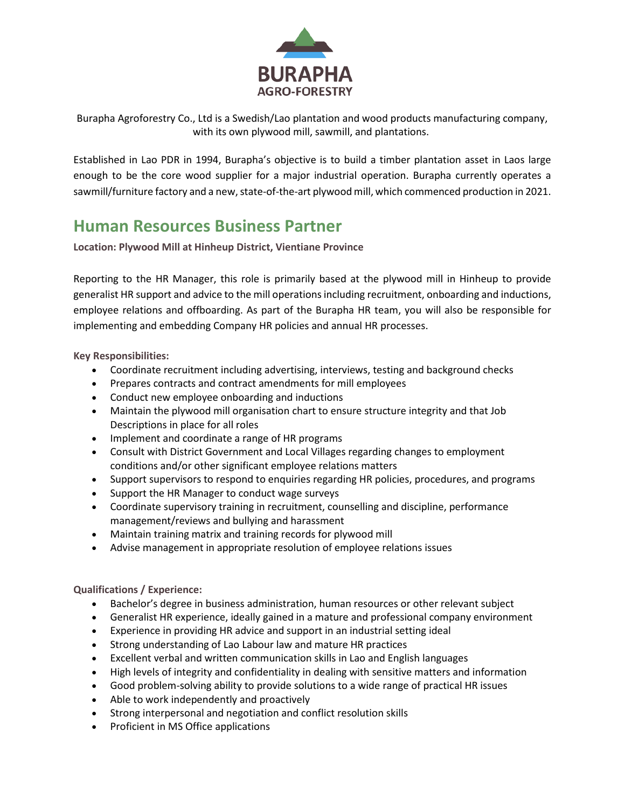

Burapha Agroforestry Co., Ltd is a Swedish/Lao plantation and wood products manufacturing company, with its own plywood mill, sawmill, and plantations.

Established in Lao PDR in 1994, Burapha's objective is to build a timber plantation asset in Laos large enough to be the core wood supplier for a major industrial operation. Burapha currently operates a sawmill/furniture factory and a new, state-of-the-art plywood mill, which commenced production in 2021.

## **Human Resources Business Partner**

**Location: Plywood Mill at Hinheup District, Vientiane Province**

Reporting to the HR Manager, this role is primarily based at the plywood mill in Hinheup to provide generalist HR support and advice to the mill operations including recruitment, onboarding and inductions, employee relations and offboarding. As part of the Burapha HR team, you will also be responsible for implementing and embedding Company HR policies and annual HR processes.

**Key Responsibilities:**

- Coordinate recruitment including advertising, interviews, testing and background checks
- Prepares contracts and contract amendments for mill employees
- Conduct new employee onboarding and inductions
- Maintain the plywood mill organisation chart to ensure structure integrity and that Job Descriptions in place for all roles
- Implement and coordinate a range of HR programs
- Consult with District Government and Local Villages regarding changes to employment conditions and/or other significant employee relations matters
- Support supervisors to respond to enquiries regarding HR policies, procedures, and programs
- Support the HR Manager to conduct wage surveys
- Coordinate supervisory training in recruitment, counselling and discipline, performance management/reviews and bullying and harassment
- Maintain training matrix and training records for plywood mill
- Advise management in appropriate resolution of employee relations issues

## **Qualifications / Experience:**

- Bachelor's degree in business administration, human resources or other relevant subject
- Generalist HR experience, ideally gained in a mature and professional company environment
- Experience in providing HR advice and support in an industrial setting ideal
- Strong understanding of Lao Labour law and mature HR practices
- Excellent verbal and written communication skills in Lao and English languages
- High levels of integrity and confidentiality in dealing with sensitive matters and information
- Good problem-solving ability to provide solutions to a wide range of practical HR issues
- Able to work independently and proactively
- Strong interpersonal and negotiation and conflict resolution skills
- Proficient in MS Office applications